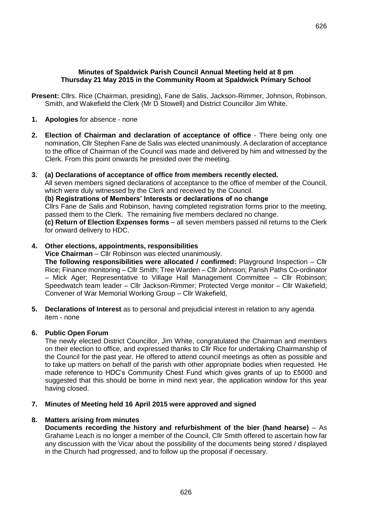**Present:** Cllrs. Rice (Chairman, presiding), Fane de Salis, Jackson-Rimmer, Johnson, Robinson, Smith, and Wakefield the Clerk (Mr D Stowell) and District Councillor Jim White.

- **1. Apologies** for absence none
- **2. Election of Chairman and declaration of acceptance of office**  There being only one nomination, Cllr Stephen Fane de Salis was elected unanimously. A declaration of acceptance to the office of Chairman of the Council was made and delivered by him and witnessed by the Clerk. From this point onwards he presided over the meeting.

#### **3. (a) Declarations of acceptance of office from members recently elected.**

All seven members signed declarations of acceptance to the office of member of the Council, which were duly witnessed by the Clerk and received by the Council.

**(b) Registrations of Members' Interests or declarations of no change**

Cllrs Fane de Salis and Robinson, having completed registration forms prior to the meeting, passed them to the Clerk. The remaining five members declared no change.

**(c) Return of Election Expenses forms** – all seven members passed nil returns to the Clerk for onward delivery to HDC.

#### **4. Other elections, appointments, responsibilities**

**Vice Chairman** – Cllr Robinson was elected unanimously.

**The following responsibilities were allocated / confirmed:** Playground Inspection – Cllr Rice; Finance monitoring – Cllr Smith; Tree Warden – Cllr Johnson; Parish Paths Co-ordinator – Mick Ager; Representative to Village Hall Management Committee – Cllr Robinson; Speedwatch team leader – Cllr Jackson-Rimmer; Protected Verge monitor – Cllr Wakefield; Convener of War Memorial Working Group – Cllr Wakefield,

**5. Declarations of Interest** as to personal and prejudicial interest in relation to any agenda item - none

### **6. Public Open Forum**

The newly elected District Councillor, Jim White, congratulated the Chairman and members on their election to office, and expressed thanks to Cllr Rice for undertaking Chairmanship of the Council for the past year. He offered to attend council meetings as often as possible and to take up matters on behalf of the parish with other appropriate bodies when requested. He made reference to HDC's Community Chest Fund which gives grants of up to £5000 and suggested that this should be borne in mind next year, the application window for this year having closed.

### **7. Minutes of Meeting held 16 April 2015 were approved and signed**

### **8. Matters arising from minutes**

**Documents recording the history and refurbishment of the bier (hand hearse)** – As Grahame Leach is no longer a member of the Council, Cllr Smith offered to ascertain how far any discussion with the Vicar about the possibility of the documents being stored / displayed in the Church had progressed, and to follow up the proposal if necessary.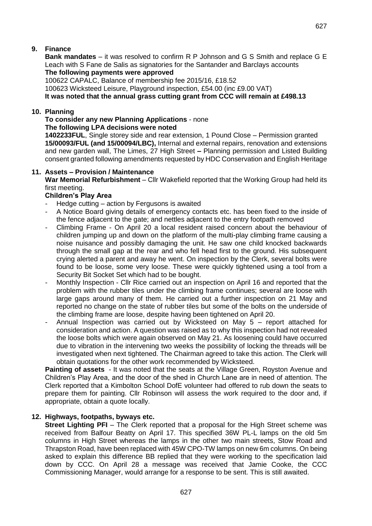## **9. Finance**

**Bank mandates** – it was resolved to confirm R P Johnson and G S Smith and replace G E Leach with S Fane de Salis as signatories for the Santander and Barclays accounts **The following payments were approved**

100622 CAPALC, Balance of membership fee 2015/16, £18.52

100623 Wicksteed Leisure, Playground inspection, £54.00 (inc £9.00 VAT)

**It was noted that the annual grass cutting grant from CCC will remain at £498.13**

## **10. Planning**

#### **To consider any new Planning Applications** - none **The following LPA decisions were noted**

**1402233FUL**, Single storey side and rear extension, 1 Pound Close – Permission granted **15/00093/FUL (and 15/00094/LBC),** Internal and external repairs, renovation and extensions and new garden wall, The Limes, 27 High Street **–** Planning permission and Listed Building consent granted following amendments requested by HDC Conservation and English Heritage

### **11. Assets – Provision / Maintenance**

**War Memorial Refurbishment** – Cllr Wakefield reported that the Working Group had held its first meeting.

### **Children's Play Area**

- Hedge cutting action by Fergusons is awaited
- A Notice Board giving details of emergency contacts etc. has been fixed to the inside of the fence adjacent to the gate; and nettles adjacent to the entry footpath removed
- Climbing Frame On April 20 a local resident raised concern about the behaviour of children jumping up and down on the platform of the multi-play climbing frame causing a noise nuisance and possibly damaging the unit. He saw one child knocked backwards through the small gap at the rear and who fell head first to the ground. His subsequent crying alerted a parent and away he went. On inspection by the Clerk, several bolts were found to be loose, some very loose. These were quickly tightened using a tool from a Security Bit Socket Set which had to be bought.
- Monthly Inspection Cllr Rice carried out an inspection on April 16 and reported that the problem with the rubber tiles under the climbing frame continues; several are loose with large gaps around many of them. He carried out a further inspection on 21 May and reported no change on the state of rubber tiles but some of the bolts on the underside of the climbing frame are loose, despite having been tightened on April 20.
- Annual Inspection was carried out by Wicksteed on May  $5$  report attached for consideration and action. A question was raised as to why this inspection had not revealed the loose bolts which were again observed on May 21. As loosening could have occurred due to vibration in the intervening two weeks the possibility of locking the threads will be investigated when next tightened. The Chairman agreed to take this action. The Clerk will obtain quotations for the other work recommended by Wicksteed.

**Painting of assets** - It was noted that the seats at the Village Green, Royston Avenue and Children's Play Area, and the door of the shed in Church Lane are in need of attention. The Clerk reported that a Kimbolton School DofE volunteer had offered to rub down the seats to prepare them for painting. Cllr Robinson will assess the work required to the door and, if appropriate, obtain a quote locally.

### **12. Highways, footpaths, byways etc.**

**Street Lighting PFI** – The Clerk reported that a proposal for the High Street scheme was received from Balfour Beatty on April 17. This specified 36W PL-L lamps on the old 5m columns in High Street whereas the lamps in the other two main streets, Stow Road and Thrapston Road, have been replaced with 45W CPO-TW lamps on new 6m columns. On being asked to explain this difference BB replied that they were working to the specification laid down by CCC. On April 28 a message was received that Jamie Cooke, the CCC Commissioning Manager, would arrange for a response to be sent. This is still awaited.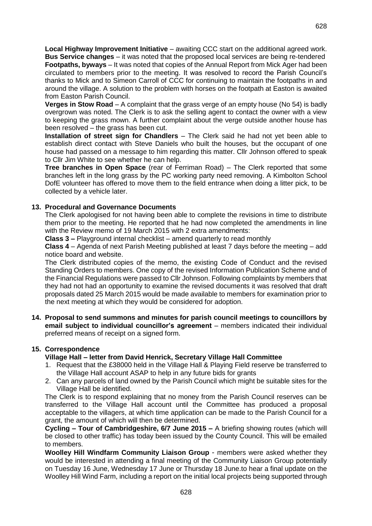**Local Highway Improvement Initiative** – awaiting CCC start on the additional agreed work. **Bus Service changes** – it was noted that the proposed local services are being re-tendered **Footpaths, byways** – It was noted that copies of the Annual Report from Mick Ager had been circulated to members prior to the meeting. It was resolved to record the Parish Council's thanks to Mick and to Simeon Carroll of CCC for continuing to maintain the footpaths in and around the village. A solution to the problem with horses on the footpath at Easton is awaited from Easton Parish Council.

**Verges in Stow Road** – A complaint that the grass verge of an empty house (No 54) is badly overgrown was noted. The Clerk is to ask the selling agent to contact the owner with a view to keeping the grass mown. A further complaint about the verge outside another house has been resolved – the grass has been cut.

**Installation of street sign for Chandlers** – The Clerk said he had not yet been able to establish direct contact with Steve Daniels who built the houses, but the occupant of one house had passed on a message to him regarding this matter. Cllr Johnson offered to speak to Cllr Jim White to see whether he can help.

**Tree branches in Open Space** (rear of Ferriman Road) – The Clerk reported that some branches left in the long grass by the PC working party need removing. A Kimbolton School DofE volunteer has offered to move them to the field entrance when doing a litter pick, to be collected by a vehicle later.

## **13. Procedural and Governance Documents**

The Clerk apologised for not having been able to complete the revisions in time to distribute them prior to the meeting. He reported that he had now completed the amendments in line with the Review memo of 19 March 2015 with 2 extra amendments:

**Class 3 –** Playground internal checklist – amend quarterly to read monthly

**Class 4** – Agenda of next Parish Meeting published at least 7 days before the meeting – add notice board and website.

The Clerk distributed copies of the memo, the existing Code of Conduct and the revised Standing Orders to members. One copy of the revised Information Publication Scheme and of the Financial Regulations were passed to Cllr Johnson. Following complaints by members that they had not had an opportunity to examine the revised documents it was resolved that draft proposals dated 25 March 2015 would be made available to members for examination prior to the next meeting at which they would be considered for adoption.

**14. Proposal to send summons and minutes for parish council meetings to councillors by email subject to individual councillor's agreement** – members indicated their individual preferred means of receipt on a signed form.

### **15. Correspondence**

### **Village Hall – letter from David Henrick, Secretary Village Hall Committee**

- 1. Request that the £38000 held in the Village Hall & Playing Field reserve be transferred to the Village Hall account ASAP to help in any future bids for grants
- 2. Can any parcels of land owned by the Parish Council which might be suitable sites for the Village Hall be identified.

The Clerk is to respond explaining that no money from the Parish Council reserves can be transferred to the Village Hall account until the Committee has produced a proposal acceptable to the villagers, at which time application can be made to the Parish Council for a grant, the amount of which will then be determined.

**Cycling – Tour of Cambridgeshire, 6/7 June 2015 –** A briefing showing routes (which will be closed to other traffic) has today been issued by the County Council. This will be emailed to members.

**Woolley Hill Windfarm Community Liaison Group** - members were asked whether they would be interested in attending a final meeting of the Community Liaison Group potentially on Tuesday 16 June, Wednesday 17 June or Thursday 18 June.to hear a final update on the Woolley Hill Wind Farm, including a report on the initial local projects being supported through